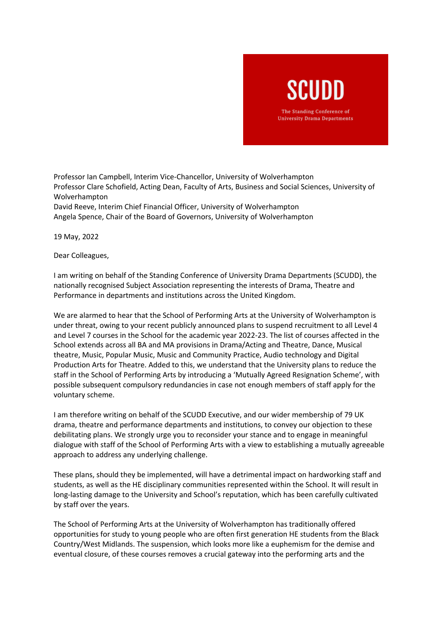## SCUDD The Standing Conference of

**University Drama Departments** 

Professor Ian Campbell, Interim Vice-Chancellor, University of Wolverhampton Professor Clare Schofield, Acting Dean, Faculty of Arts, Business and Social Sciences, University of Wolverhampton David Reeve, Interim Chief Financial Officer, University of Wolverhampton Angela Spence, Chair of the Board of Governors, University of Wolverhampton

19 May, 2022

Dear Colleagues,

I am writing on behalf of the Standing Conference of University Drama Departments (SCUDD), the nationally recognised Subject Association representing the interests of Drama, Theatre and Performance in departments and institutions across the United Kingdom.

We are alarmed to hear that the School of Performing Arts at the University of Wolverhampton is under threat, owing to your recent publicly announced plans to suspend recruitment to all Level 4 and Level 7 courses in the School for the academic year 2022-23. The list of courses affected in the School extends across all BA and MA provisions in Drama/Acting and Theatre, Dance, Musical theatre, Music, Popular Music, Music and Community Practice, Audio technology and Digital Production Arts for Theatre. Added to this, we understand that the University plans to reduce the staff in the School of Performing Arts by introducing a 'Mutually Agreed Resignation Scheme', with possible subsequent compulsory redundancies in case not enough members of staff apply for the voluntary scheme.

I am therefore writing on behalf of the SCUDD Executive, and our wider membership of 79 UK drama, theatre and performance departments and institutions, to convey our objection to these debilitating plans. We strongly urge you to reconsider your stance and to engage in meaningful dialogue with staff of the School of Performing Arts with a view to establishing a mutually agreeable approach to address any underlying challenge.

These plans, should they be implemented, will have a detrimental impact on hardworking staff and students, as well as the HE disciplinary communities represented within the School. It will result in long-lasting damage to the University and School's reputation, which has been carefully cultivated by staff over the years.

The School of Performing Arts at the University of Wolverhampton has traditionally offered opportunities for study to young people who are often first generation HE students from the Black Country/West Midlands. The suspension, which looks more like a euphemism for the demise and eventual closure, of these courses removes a crucial gateway into the performing arts and the